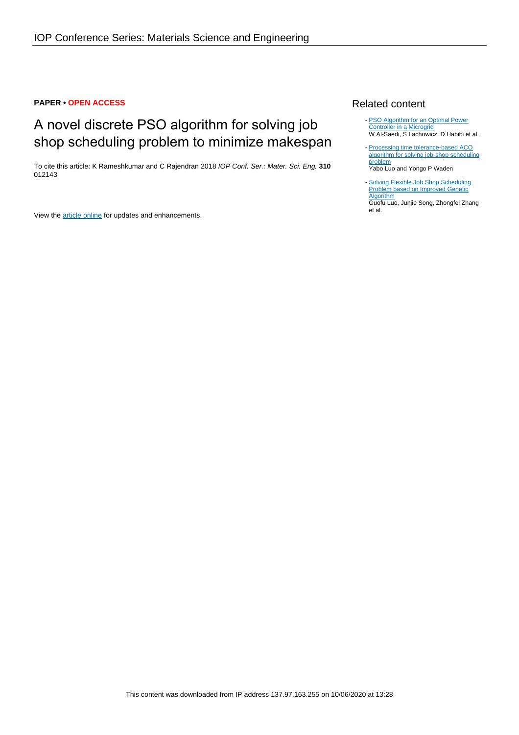## **PAPER • OPEN ACCESS**

# A novel discrete PSO algorithm for solving job shop scheduling problem to minimize makespan

To cite this article: K Rameshkumar and C Rajendran 2018 IOP Conf. Ser.: Mater. Sci. Eng. **310** 012143

View the [article online](https://doi.org/10.1088/1757-899X/310/1/012143) for updates and enhancements.

## Related content

- [PSO Algorithm for an Optimal Power](http://iopscience.iop.org/article/10.1088/1755-1315/73/1/012028) [Controller in a Microgrid](http://iopscience.iop.org/article/10.1088/1755-1315/73/1/012028) W Al-Saedi, S Lachowicz, D Habibi et al.
- [Processing time tolerance-based ACO](http://iopscience.iop.org/article/10.1088/1755-1315/69/1/012181) [algorithm for solving job-shop scheduling](http://iopscience.iop.org/article/10.1088/1755-1315/69/1/012181) [problem](http://iopscience.iop.org/article/10.1088/1755-1315/69/1/012181) Yabo Luo and Yongo P Waden -
- [Solving Flexible Job Shop Scheduling](http://iopscience.iop.org/article/10.1088/1757-899X/394/3/032135) **[Problem based on Improved Genetic](http://iopscience.iop.org/article/10.1088/1757-899X/394/3/032135) [Algorithm](http://iopscience.iop.org/article/10.1088/1757-899X/394/3/032135)** Guofu Luo, Junjie Song, Zhongfei Zhang et al. -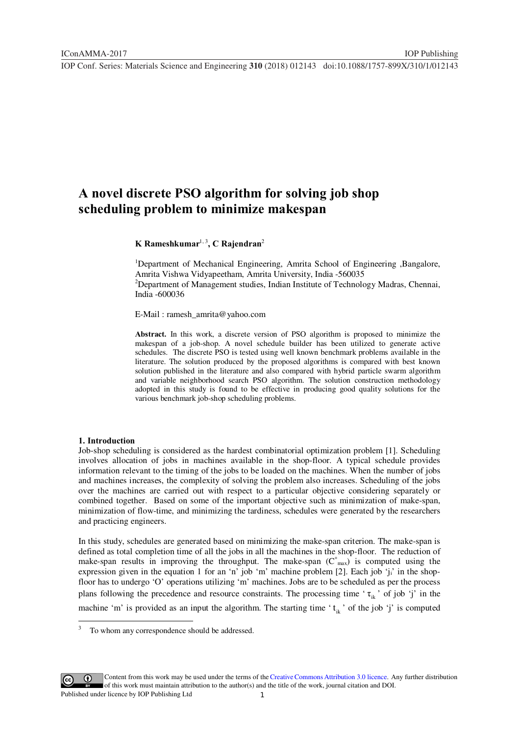## **A novel discrete PSO algorithm for solving job shop scheduling problem to minimize makespan**

## **K Rameshkumar**1, 3**, C Rajendran**<sup>2</sup>

<sup>1</sup>Department of Mechanical Engineering, Amrita School of Engineering , Bangalore, Amrita Vishwa Vidyapeetham, Amrita University, India -560035

<sup>2</sup>Department of Management studies, Indian Institute of Technology Madras, Chennai, India -600036

E-Mail : ramesh\_amrita@yahoo.com

**Abstract.** In this work, a discrete version of PSO algorithm is proposed to minimize the makespan of a job-shop. A novel schedule builder has been utilized to generate active schedules. The discrete PSO is tested using well known benchmark problems available in the literature. The solution produced by the proposed algorithms is compared with best known solution published in the literature and also compared with hybrid particle swarm algorithm and variable neighborhood search PSO algorithm. The solution construction methodology adopted in this study is found to be effective in producing good quality solutions for the various benchmark job-shop scheduling problems.

#### **1. Introduction**

Job-shop scheduling is considered as the hardest combinatorial optimization problem [1]. Scheduling involves allocation of jobs in machines available in the shop-floor. A typical schedule provides information relevant to the timing of the jobs to be loaded on the machines. When the number of jobs and machines increases, the complexity of solving the problem also increases. Scheduling of the jobs over the machines are carried out with respect to a particular objective considering separately or combined together. Based on some of the important objective such as minimization of make-span, minimization of flow-time, and minimizing the tardiness, schedules were generated by the researchers and practicing engineers.

In this study, schedules are generated based on minimizing the make-span criterion. The make-span is defined as total completion time of all the jobs in all the machines in the shop-floor. The reduction of make-span results in improving the throughput. The make-span  $(C^*_{max})$  is computed using the expression given in the equation 1 for an 'n' job 'm' machine problem [2]. Each job 'j<sub>i</sub>' in the shopfloor has to undergo 'O' operations utilizing 'm' machines. Jobs are to be scheduled as per the process plans following the precedence and resource constraints. The processing time ' $\tau_{ik}$ ' of job 'j' in the machine 'm' is provided as an input the algorithm. The starting time ' $t_{ik}$ ' of the job 'j' is computed



Content from this work may be used under the terms of the[Creative Commons Attribution 3.0 licence.](http://creativecommons.org/licenses/by/3.0) Any further distribution of this work must maintain attribution to the author(s) and the title of the work, journal citation and DOI. Published under licence by IOP Publishing Ltd

<sup>&</sup>lt;sup>2</sup><br>3 To whom any correspondence should be addressed.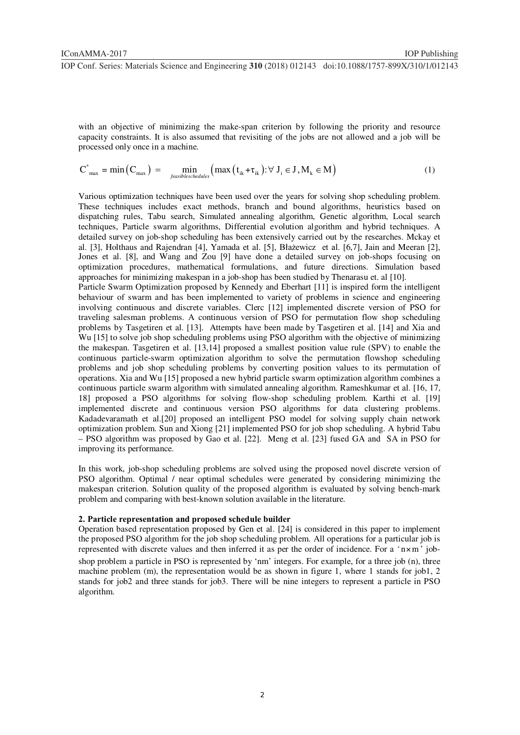with an objective of minimizing the make-span criterion by following the priority and resource capacity constraints. It is also assumed that revisiting of the jobs are not allowed and a job will be processed only once in a machine.

$$
C^*_{max} = min(C_{max}) = min_{\text{feasible} \times \text{heads}} (max(t_{ik} + \tau_{ik}) : \forall J_i \in J, M_k \in M)
$$
 (1)

Various optimization techniques have been used over the years for solving shop scheduling problem. These techniques includes exact methods, branch and bound algorithms, heuristics based on dispatching rules, Tabu search, Simulated annealing algorithm, Genetic algorithm, Local search techniques, Particle swarm algorithms, Differential evolution algorithm and hybrid techniques. A detailed survey on job-shop scheduling has been extensively carried out by the researches. Mckay et al. [3], Holthaus and Rajendran [4], Yamada et al. [5], Błażewicz et al. [6,7], Jain and Meeran [2], Jones et al. [8], and Wang and Zou [9] have done a detailed survey on job-shops focusing on optimization procedures, mathematical formulations, and future directions. Simulation based approaches for minimizing makespan in a job-shop has been studied by Thenarasu et. al [10]. Particle Swarm Optimization proposed by Kennedy and Eberhart [11] is inspired form the intelligent behaviour of swarm and has been implemented to variety of problems in science and engineering involving continuous and discrete variables. Clerc [12] implemented discrete version of PSO for traveling salesman problems. A continuous version of PSO for permutation flow shop scheduling problems by Tasgetiren et al. [13]. Attempts have been made by Tasgetiren et al. [14] and Xia and Wu [15] to solve job shop scheduling problems using PSO algorithm with the objective of minimizing the makespan. Tasgetiren et al. [13,14] proposed a smallest position value rule (SPV) to enable the

continuous particle-swarm optimization algorithm to solve the permutation flowshop scheduling problems and job shop scheduling problems by converting position values to its permutation of operations. Xia and Wu [15] proposed a new hybrid particle swarm optimization algorithm combines a continuous particle swarm algorithm with simulated annealing algorithm. Rameshkumar et al. [16, 17, 18] proposed a PSO algorithms for solving flow-shop scheduling problem. Karthi et al. [19] implemented discrete and continuous version PSO algorithms for data clustering problems. Kadadevaramath et al.[20] proposed an intelligent PSO model for solving supply chain network optimization problem. Sun and Xiong [21] implemented PSO for job shop scheduling. A hybrid Tabu – PSO algorithm was proposed by Gao et al. [22]. Meng et al. [23] fused GA and SA in PSO for improving its performance.

In this work, job-shop scheduling problems are solved using the proposed novel discrete version of PSO algorithm. Optimal / near optimal schedules were generated by considering minimizing the makespan criterion. Solution quality of the proposed algorithm is evaluated by solving bench-mark problem and comparing with best-known solution available in the literature.

#### **2. Particle representation and proposed schedule builder**

Operation based representation proposed by Gen et al. [24] is considered in this paper to implement the proposed PSO algorithm for the job shop scheduling problem. All operations for a particular job is represented with discrete values and then inferred it as per the order of incidence. For a *'* n×m ' jobshop problem a particle in PSO is represented by 'nm' integers. For example, for a three job (n), three machine problem (m), the representation would be as shown in figure 1, where 1 stands for job1, 2 stands for job2 and three stands for job3. There will be nine integers to represent a particle in PSO algorithm.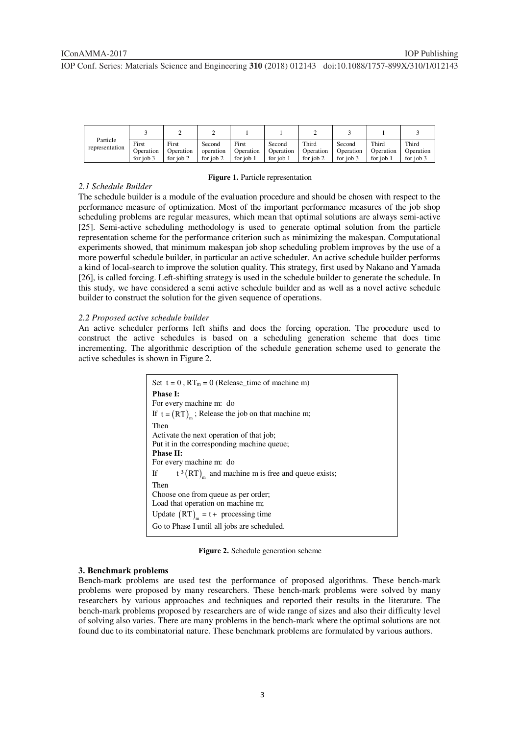| Particle       |           |           |           |           |           |           |           |           |           |
|----------------|-----------|-----------|-----------|-----------|-----------|-----------|-----------|-----------|-----------|
|                | First     | First     | Second    | First     | Second    | Third     | Second    | Third     | Third     |
| representation | Operation | Operation | operation | Operation | Operation | Operation | Operation | Operation | Operation |
|                | for job 3 | for job 2 | for job 2 | for job 1 | for job 1 | for job 2 | for job 3 | for job   | for iob 3 |

#### **Figure 1.** Particle representation

## *2.1 Schedule Builder*

The schedule builder is a module of the evaluation procedure and should be chosen with respect to the performance measure of optimization. Most of the important performance measures of the job shop scheduling problems are regular measures, which mean that optimal solutions are always semi-active [25]. Semi-active scheduling methodology is used to generate optimal solution from the particle representation scheme for the performance criterion such as minimizing the makespan. Computational experiments showed, that minimum makespan job shop scheduling problem improves by the use of a more powerful schedule builder, in particular an active scheduler. An active schedule builder performs a kind of local-search to improve the solution quality. This strategy, first used by Nakano and Yamada [26], is called forcing. Left-shifting strategy is used in the schedule builder to generate the schedule. In this study, we have considered a semi active schedule builder and as well as a novel active schedule builder to construct the solution for the given sequence of operations.

#### *2.2 Proposed active schedule builder*

An active scheduler performs left shifts and does the forcing operation. The procedure used to construct the active schedules is based on a scheduling generation scheme that does time incrementing. The algorithmic description of the schedule generation scheme used to generate the active schedules is shown in Figure 2.

| Set $t = 0$ , $RT_m = 0$ (Release time of machine m)                                                                                                                                                                                                                                  |
|---------------------------------------------------------------------------------------------------------------------------------------------------------------------------------------------------------------------------------------------------------------------------------------|
| <b>Phase I:</b>                                                                                                                                                                                                                                                                       |
| For every machine m: do                                                                                                                                                                                                                                                               |
| If $t = (RT)$ <sub>n</sub> ; Release the job on that machine m;                                                                                                                                                                                                                       |
| Then                                                                                                                                                                                                                                                                                  |
| Activate the next operation of that job;                                                                                                                                                                                                                                              |
| Put it in the corresponding machine queue;                                                                                                                                                                                                                                            |
| <b>Phase II:</b>                                                                                                                                                                                                                                                                      |
| For every machine m: do                                                                                                                                                                                                                                                               |
| $t^{3}(RT)$ and machine m is free and queue exists;<br>If The Terms of the Terms of the Terms of the Terms of the Terms of the Terms of the Terms of the Terms of the Terms of the Terms of the Terms of the Terms of the Terms of the Terms of the Terms of the Terms of the Terms o |
| Then                                                                                                                                                                                                                                                                                  |
| Choose one from queue as per order;                                                                                                                                                                                                                                                   |
| Load that operation on machine m;                                                                                                                                                                                                                                                     |
| Update $(RT)_{m} = t + \text{ processing time}$                                                                                                                                                                                                                                       |
| Go to Phase I until all jobs are scheduled.                                                                                                                                                                                                                                           |

**Figure 2.** Schedule generation scheme

#### **3. Benchmark problems**

Bench-mark problems are used test the performance of proposed algorithms. These bench-mark problems were proposed by many researchers. These bench-mark problems were solved by many researchers by various approaches and techniques and reported their results in the literature. The bench-mark problems proposed by researchers are of wide range of sizes and also their difficulty level of solving also varies. There are many problems in the bench-mark where the optimal solutions are not found due to its combinatorial nature. These benchmark problems are formulated by various authors.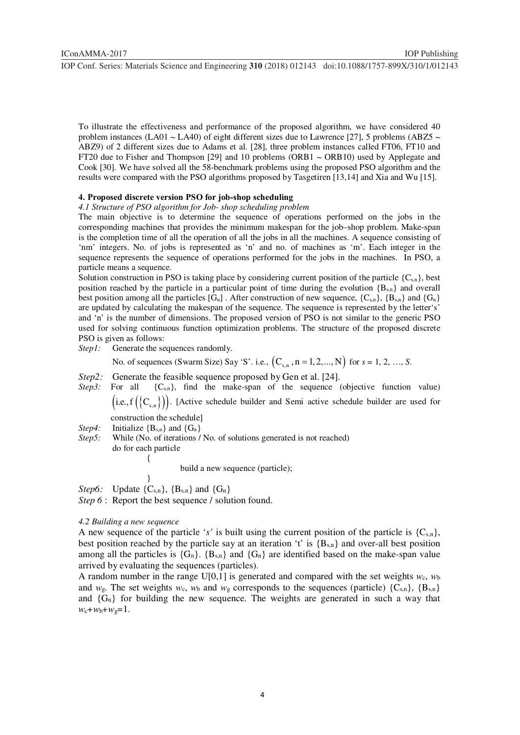To illustrate the effectiveness and performance of the proposed algorithm, we have considered 40 problem instances (LA01  $\sim$  LA40) of eight different sizes due to Lawrence [27], 5 problems (ABZ5  $\sim$ ABZ9) of 2 different sizes due to Adams et al. [28], three problem instances called FT06, FT10 and FT20 due to Fisher and Thompson [29] and 10 problems (ORB1  $\sim$  ORB10) used by Applegate and Cook [30]. We have solved all the 58-benchmark problems using the proposed PSO algorithm and the results were compared with the PSO algorithms proposed by Tasgetiren [13,14] and Xia and Wu [15].

## **4. Proposed discrete version PSO for job-shop scheduling**

*4.1 Structure of PSO algorithm for Job- shop scheduling problem* 

The main objective is to determine the sequence of operations performed on the jobs in the corresponding machines that provides the minimum makespan for the job–shop problem. Make-span is the completion time of all the operation of all the jobs in all the machines. A sequence consisting of 'nm' integers. No. of jobs is represented as 'n' and no. of machines as 'm'. Each integer in the sequence represents the sequence of operations performed for the jobs in the machines. In PSO, a particle means a sequence.

Solution construction in PSO is taking place by considering current position of the particle  $\{C_{s,n}\}$ , best position reached by the particle in a particular point of time during the evolution  ${B_{s,n}}$  and overall best position among all the particles  $[G_n]$ . After construction of new sequence,  $\{C_{s,n}\}$ ,  $\{B_{s,n}\}$  and  $\{G_n\}$ are updated by calculating the makespan of the sequence. The sequence is represented by the letter's' and 'n' is the number of dimensions. The proposed version of PSO is not similar to the generic PSO used for solving continuous function optimization problems. The structure of the proposed discrete PSO is given as follows:

*Step1:* Generate the sequences randomly.

No. of sequences (Swarm Size) Say 'S'. i.e., 
$$
(C_{s,n}, n = 1, 2, ..., N)
$$
 for  $s = 1, 2, ..., S$ .

- *Step2:* Generate the feasible sequence proposed by Gen et al. [24].
- *Step3:* For all  ${C_{s,n}}$ , find the make-span of the sequence (objective function value)  $(i.e., f({C_{s,n}}))$ . [Active schedule builder and Semi active schedule builder are used for

construction the schedule]

- *Step4:* Initialize  ${B_{s,n}}$  and  ${G_n}$
- *Step5:* While (No. of iterations / No. of solutions generated is not reached) do for each particle  $\{$

build a new sequence (particle);

 } *Step6:* Update  $\{C_{s,n}\}, \{B_{s,n}\}$  and  $\{G_n\}$ 

*Step 6* : Report the best sequence / solution found.

## *4.2 Building a new sequence*

A new sequence of the particle 's' is built using the current position of the particle is  ${C_{s,n}}$ , best position reached by the particle say at an iteration 't' is  ${B_{s,n}}$  and over-all best position among all the particles is  ${G_n}$ .  ${B_{s,n}}$  and  ${G_n}$  are identified based on the make-span value arrived by evaluating the sequences (particles).

A random number in the range U[0,1] is generated and compared with the set weights  $w_c$ ,  $w_b$ and  $w_g$ . The set weights  $w_g$ ,  $w_b$  and  $w_g$  corresponds to the sequences (particle)  $\{C_{s,n}\}, \{B_{s,n}\}\$ and  ${G_n}$  for building the new sequence. The weights are generated in such a way that  $w_c + w_b + w_g = 1$ .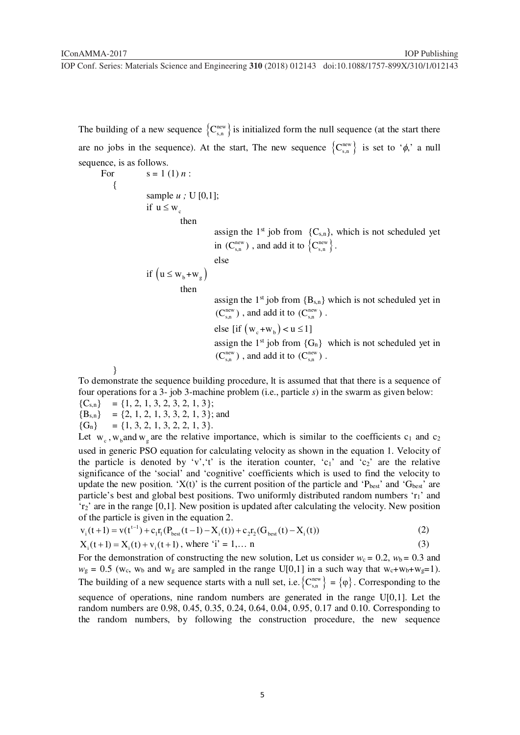The building of a new sequence  ${C_{s,n}^{\text{new}}}$  is initialized form the null sequence (at the start there are no jobs in the sequence). At the start, The new sequence  ${C_{s,n}^{new}}$  is set to ' $\phi$ ,' a null sequence, is as follows.

For 
$$
s = 1(1) n
$$
:

{

sample *u ;* U [0,1];

if  $u \leq w_s$ 

then

assign the  $1<sup>st</sup>$  job from  ${C<sub>s,n</sub>}$ , which is not scheduled yet in  $(C_{s,n}^{new})$ , and add it to  $\{C_{s,n}^{new}\}.$ 

else

$$
\text{if } \left( u \leq w_{b} + w_{g} \right)
$$

then

assign the  $1<sup>st</sup>$  job from  ${B<sub>s,n</sub>}$  which is not scheduled yet in  $(\mathsf{C}_{\text{\tiny S,n}}^{\text{\tiny new}})$  , and add it to  $(\mathsf{C}_{\text{\tiny S,n}}^{\text{\tiny new}})$  . else [if  $(w_c + w_b) < u \le 1$ ] assign the  $1^{st}$  job from  ${G_n}$  which is not scheduled yet in  $(\mathsf{C}_{\text{\tiny S,n}}^{\text{\tiny new}})$  , and add it to  $(\mathsf{C}_{\text{\tiny S,n}}^{\text{\tiny new}})$  .

}

To demonstrate the sequence building procedure, lt is assumed that that there is a sequence of four operations for a 3- job 3-machine problem (i.e., particle *s*) in the swarm as given below:

 ${C<sub>s,n</sub>} = {1, 2, 1, 3, 2, 3, 2, 1, 3};$  ${B_{s,n}} = \{2, 1, 2, 1, 3, 3, 2, 1, 3\};$  and  ${G_n} = {1, 3, 2, 1, 3, 2, 2, 1, 3}.$ 

Let  $w_c$ ,  $w_b$  and  $w_a$  are the relative importance, which is similar to the coefficients c<sub>1</sub> and c<sub>2</sub> used in generic PSO equation for calculating velocity as shown in the equation 1. Velocity of the particle is denoted by 'v', 't' is the iteration counter,  $c_1$ ' and  $c_2$ ' are the relative significance of the 'social' and 'cognitive' coefficients which is used to find the velocity to update the new position. 'X(t)' is the current position of the particle and ' $P_{best}$ ' and ' $G_{best}$ ' are particle's best and global best positions. Two uniformly distributed random numbers 'r<sub>1</sub>' and 'r2' are in the range [0,1]. New position is updated after calculating the velocity. New position of the particle is given in the equation  $2$ .

$$
v_i(t+1) = v(t^{t-1}) + c_1 r_1 (P_{best}(t-1) - X_i(t)) + c_2 r_2 (G_{best}(t) - X_i(t))
$$
\n(2)

$$
X_i(t+1) = X_i(t) + v_i(t+1), \text{ where } i' = 1,... n
$$
 (3)

For the demonstration of constructing the new solution, Let us consider  $w_c = 0.2$ ,  $w_b = 0.3$  and  $w_g = 0.5$  (w<sub>c</sub>, w<sub>b</sub> and w<sub>g</sub> are sampled in the range U[0,1] in a such way that w<sub>c</sub>+w<sub>b</sub>+w<sub>g</sub>=1). The building of a new sequence starts with a null set, i.e.  ${C_{s,n}^{new}} = {\varphi}$ . Corresponding to the

sequence of operations, nine random numbers are generated in the range U[0,1]. Let the random numbers are 0.98, 0.45, 0.35, 0.24, 0.64, 0.04, 0.95, 0.17 and 0.10. Corresponding to the random numbers, by following the construction procedure, the new sequence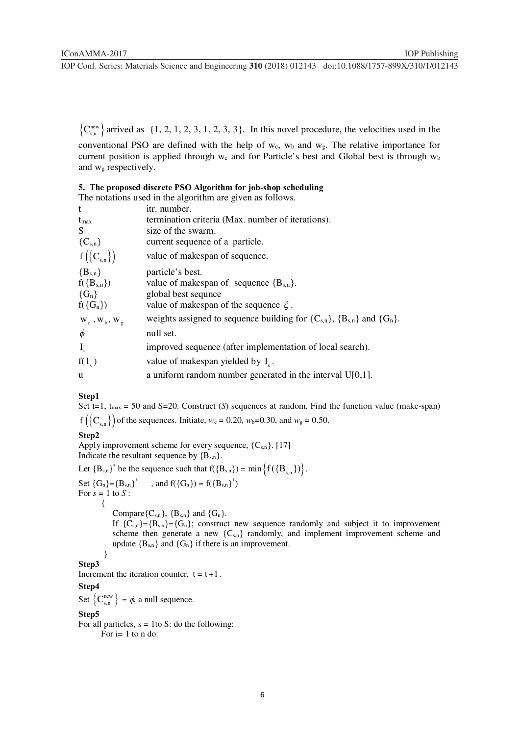${C_{s,n}^{new}}$  arrived as {1, 2, 1, 2, 3, 1, 2, 3, 3}. In this novel procedure, the velocities used in the

conventional PSO are defined with the help of  $w_c$ ,  $w_b$  and  $w_g$ . The relative importance for current position is applied through  $w_c$  and for Particle's best and Global best is through  $w_b$ and w<sub>g</sub> respectively.

## **5. The proposed discrete PSO Algorithm for job-shop scheduling**

The notations used in the algorithm are given as follows.

| t                                                          | itr. number.                                                                         |
|------------------------------------------------------------|--------------------------------------------------------------------------------------|
| $t_{\rm max}$                                              | termination criteria (Max. number of iterations).                                    |
| S.                                                         | size of the swarm.                                                                   |
| ${C_{s,n}}$                                                | current sequence of a particle.                                                      |
| $f\left(\left\{ \mathbf{C}_{\mathrm{s},n}\right\} \right)$ | value of makespan of sequence.                                                       |
| ${B_{s,n}}$                                                | particle's best.                                                                     |
| $f({B_{s,n}})$                                             | value of makespan of sequence ${B_{s,n}}$ .                                          |
| ${G_n}$                                                    | global best sequie                                                                   |
| $f({G_n})$                                                 | value of makespan of the sequence $\xi$ .                                            |
| $W_c$ , $W_b$ , $W_g$                                      | weights assigned to sequence building for $\{C_{s,n}\}, \{B_{s,n}\}\$ and $\{G_n\}.$ |
| $\phi$                                                     | null set.                                                                            |
| $I_{\rm s}$                                                | improved sequence (after implementation of local search).                            |
| $f(I_{\zeta})$                                             | value of makespan yielded by I <sub>s</sub> .                                        |
| u                                                          | a uniform random number generated in the interval $U[0,1]$ .                         |

#### **Step1**

Set t=1,  $t_{\text{max}} = 50$  and S=20. Construct (*S*) sequences at random. Find the function value (make-span)  $f\left(\left\{C_{s,n}\right\}\right)$  of the sequences. Initiate,  $w_c = 0.20$ ,  $w_b = 0.30$ , and  $w_g = 0.50$ .

## **Step2**

Apply improvement scheme for every sequence,  ${C_{s,n}}$ . [17] Indicate the resultant sequence by  ${B_{s,n}}$ .

Let  ${B_{s,n}}^*$  be the sequence such that  $f({B_{s,n}}) = min \{f({B_{s,n}})\}.$ Set  ${G_n} = {B_{s,n}}^*$ , and  $f({G_n}) = f({B_{s,n}})^*$ For  $s = 1$  to  $S$  : { Compare ${C_{s,n}}$ ,  ${B_{s,n}}$  and  ${G_n}$ . If  ${C_{s,n}}={B_{s,n}}={G_n}$ ; construct new sequence randomly and subject it to improvement scheme then generate a new  ${C_{s,n}}$  randomly, and implement improvement scheme and update  ${B_{s,n}}$  and  ${G_n}$  if there is an improvement. } **Step3** 

Increment the iteration counter,  $t = t + 1$ .

## **Step4**

Set  ${C_{s,n}^{new}} = \phi$ , a null sequence.

#### **Step5**

For all particles,  $s = 1$  to S: do the following: For i= 1 to n do: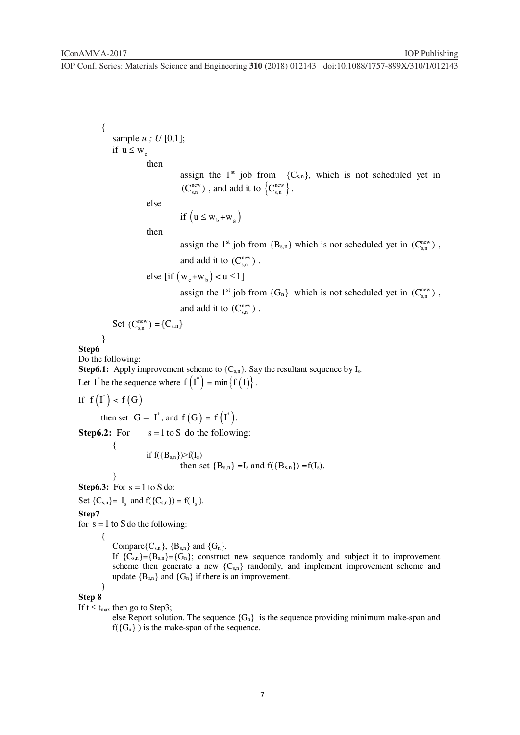{ sample *u ; U* [0,1]; if  $u \leq w_s$  then assign the  $1^{st}$  job from  ${C_{s,n}}$ , which is not scheduled yet in  $(C_{s,n}^{new})$ , and add it to  $\{C_{s,n}^{new}\}.$  else if  $(u \leq w_b + w_g)$  then assign the 1<sup>st</sup> job from  ${B_{s,n}}$  which is not scheduled yet in  $(C_{s,n}^{\text{new}})$ , and add it to  $(C_{s,n}^{new})$ . else [if  $(w_e + w_h) < u \le 1$ ] assign the 1<sup>st</sup> job from  $\{G_n\}$  which is not scheduled yet in  $(C_{s,n}^{\text{new}})$ , and add it to  $(C_{s,n}^{new})$ . Set  $(C_{s,n}^{new}) = {C_{s,n}}$  } **Step6**  Do the following: **Step6.1:** Apply improvement scheme to  ${C_{s,n}}$ . Say the resultant sequence by  $I_s$ . Let I<sup>\*</sup> be the sequence where  $f(I^*) = min \{f(I)\}$ . If  $f(I^*) < f(G)$ then set  $G = I^*$ , and  $f(G) = f(I^*)$ . **Step6.2:** For  $s = 1$  to S do the following: { if  $f({B_{s,n}}) > f(I_s)$ then set  ${B_{s,n}} = I_s$  and  $f({B_{s,n}}) = f(I_s)$ . } **Step6.3:** For  $s = 1$  to S do: Set  $\{C_{s,n}\} = I_s$  and  $f(\{C_{s,n}\}) = f(I_s)$ . **Step7**  for  $s = 1$  to S do the following: { Compare ${C_{sn}}$ ,  ${B_{sn}}$  and  ${G_n}$ . If  ${C_{s,n}}={B_{s,n}}={G_n}$ ; construct new sequence randomly and subject it to improvement scheme then generate a new  ${C_{s,n}}$  randomly, and implement improvement scheme and update  ${B_{s,n}}$  and  ${G_n}$  if there is an improvement. } **Step 8**  If  $t \leq t_{\text{max}}$  then go to Step3; else Report solution. The sequence  ${G_n}$  is the sequence providing minimum make-span and  $f({G_n})$  is the make-span of the sequence.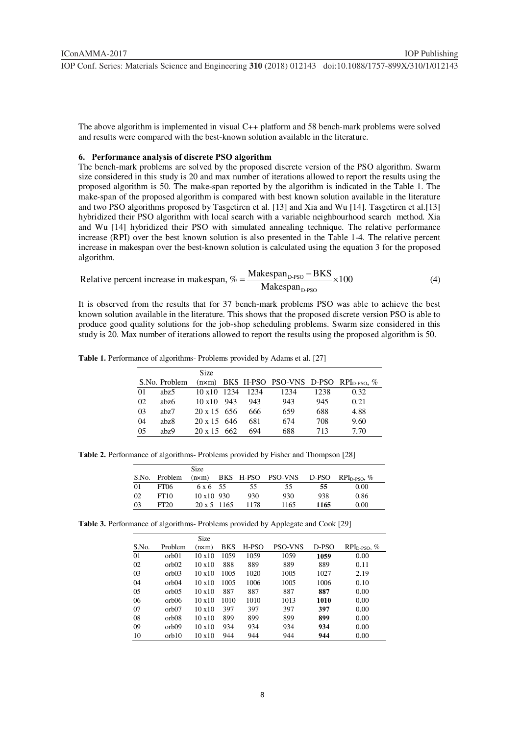The above algorithm is implemented in visual C++ platform and 58 bench-mark problems were solved and results were compared with the best-known solution available in the literature.

## **6. Performance analysis of discrete PSO algorithm**

The bench-mark problems are solved by the proposed discrete version of the PSO algorithm. Swarm size considered in this study is 20 and max number of iterations allowed to report the results using the proposed algorithm is 50. The make-span reported by the algorithm is indicated in the Table 1. The make-span of the proposed algorithm is compared with best known solution available in the literature and two PSO algorithms proposed by Tasgetiren et al. [13] and Xia and Wu [14]. Tasgetiren et al.[13] hybridized their PSO algorithm with local search with a variable neighbourhood search method. Xia and Wu [14] hybridized their PSO with simulated annealing technique. The relative performance increase (RPI) over the best known solution is also presented in the Table 1-4. The relative percent increase in makespan over the best-known solution is calculated using the equation 3 for the proposed algorithm.

Relative percent increase in makespan, 
$$
\% = \frac{\text{Makespan}_{\text{D-PSO}} - \text{BKS}}{\text{Makespan}_{\text{D-PSO}}} \times 100
$$
 (4)

It is observed from the results that for 37 bench-mark problems PSO was able to achieve the best known solution available in the literature. This shows that the proposed discrete version PSO is able to produce good quality solutions for the job-shop scheduling problems. Swarm size considered in this study is 20. Max number of iterations allowed to report the results using the proposed algorithm is 50.

|  | <b>Table 1.</b> Performance of algorithms- Problems provided by Adams et al. [27] |  |  |
|--|-----------------------------------------------------------------------------------|--|--|
|  |                                                                                   |  |  |

|     |                  | Size               |      |      |      |      |                                                                 |
|-----|------------------|--------------------|------|------|------|------|-----------------------------------------------------------------|
|     | S.No. Problem    |                    |      |      |      |      | $(n \times m)$ BKS H-PSO PSO-VNS D-PSO RPI <sub>D-PSO</sub> , % |
| 01  | abz <sub>5</sub> | $10 \times 10$     | 1234 | 1234 | 1234 | 1238 | 0.32                                                            |
| 02  | abz6             | $10 \times 10$ 943 |      | 943  | 943  | 945  | 0.21                                                            |
| 03  | abz7             | $20 \times 15$ 656 |      | 666  | 659  | 688  | 4.88                                                            |
| 04  | abz8             | $20 \times 15$ 646 |      | 681  | 674  | 708  | 9.60                                                            |
| 0.5 | abz9             | $20 \times 15$ 662 |      | 694  | 688  | 713  | 7.70                                                            |

**Table 2.** Performance of algorithms- Problems provided by Fisher and Thompson [28]

|    |                  | <b>Size</b>        |      |      |      |                                                    |
|----|------------------|--------------------|------|------|------|----------------------------------------------------|
|    | S.No. Problem    | $(n \times m)$     |      |      |      | BKS H-PSO PSO-VNS D-PSO RPI <sub>D-PSO</sub> , $%$ |
| 01 | <b>FT06</b>      | $6 \times 6$ 55    | 55   | 55   | 55   | 0.00                                               |
| 02 | FT10             | $10 \times 10$ 930 | 930  | 930  | 938  | 0.86                                               |
| 03 | FT <sub>20</sub> | $20 \times 5$ 1165 | 1178 | 1165 | 1165 | 0.00                                               |

**Table 3.** Performance of algorithms- Problems provided by Applegate and Cook [29]

|       |                    | Size           |            |       |                |       |               |
|-------|--------------------|----------------|------------|-------|----------------|-------|---------------|
| S.No. | Problem            | $(n \times m)$ | <b>BKS</b> | H-PSO | <b>PSO-VNS</b> | D-PSO | $RPID-PSO, %$ |
| 01    | orb <sub>01</sub>  | 10x10          | 1059       | 1059  | 1059           | 1059  | 0.00          |
| 02    | orb <sub>02</sub>  | 10x10          | 888        | 889   | 889            | 889   | 0.11          |
| 03    | orb <sub>03</sub>  | 10x10          | 1005       | 1020  | 1005           | 1027  | 2.19          |
| 04    | orb <sub>04</sub>  | 10x10          | 1005       | 1006  | 1005           | 1006  | 0.10          |
| 05    | orb <sub>0.5</sub> | 10x10          | 887        | 887   | 887            | 887   | 0.00          |
| 06    | orb <sub>06</sub>  | 10x10          | 1010       | 1010  | 1013           | 1010  | 0.00          |
| 07    | orb <sub>07</sub>  | 10x10          | 397        | 397   | 397            | 397   | 0.00          |
| 08    | orb <sub>08</sub>  | 10x10          | 899        | 899   | 899            | 899   | 0.00          |
| 09    | orb <sub>09</sub>  | 10x10          | 934        | 934   | 934            | 934   | 0.00          |
| 10    | orb10              | 10x10          | 944        | 944   | 944            | 944   | 0.00          |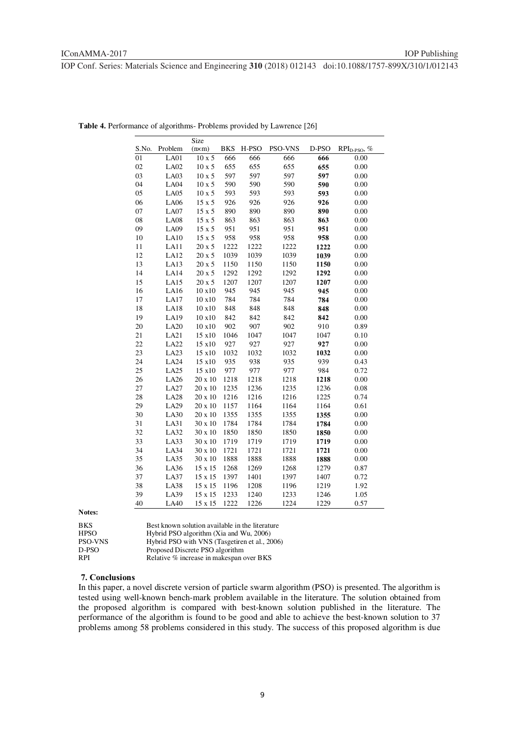|       |                  | Size          |            |       |         |       |                          |
|-------|------------------|---------------|------------|-------|---------|-------|--------------------------|
| S.No. | Problem          | (nxm)         | <b>BKS</b> | H-PSO | PSO-VNS | D-PSO | RPI <sub>D-PSO</sub> , % |
| 01    | LA01             | $10 \times 5$ | 666        | 666   | 666     | 666   | 0.00                     |
| 02    | <b>LA02</b>      | $10 \times 5$ | 655        | 655   | 655     | 655   | 0.00                     |
| 03    | LA03             | $10 \times 5$ | 597        | 597   | 597     | 597   | 0.00                     |
| 04    | <b>LA04</b>      | $10 \times 5$ | 590        | 590   | 590     | 590   | 0.00                     |
| 05    | LA05             | $10 \times 5$ | 593        | 593   | 593     | 593   | 0.00                     |
| 06    | <b>LA06</b>      | $15 \times 5$ | 926        | 926   | 926     | 926   | 0.00                     |
| 07    | LA07             | $15 \times 5$ | 890        | 890   | 890     | 890   | 0.00                     |
| 08    | <b>LA08</b>      | $15 \times 5$ | 863        | 863   | 863     | 863   | 0.00                     |
| 09    | <b>LA09</b>      | $15 \times 5$ | 951        | 951   | 951     | 951   | 0.00                     |
| 10    | LA10             | $15 \times 5$ | 958        | 958   | 958     | 958   | 0.00                     |
| 11    | LA11             | 20 x 5        | 1222       | 1222  | 1222    | 1222  | 0.00                     |
| 12    | LA12             | 20 x 5        | 1039       | 1039  | 1039    | 1039  | 0.00                     |
| 13    | LA13             | 20 x 5        | 1150       | 1150  | 1150    | 1150  | 0.00                     |
| 14    | LA <sub>14</sub> | $20 \ge 5$    | 1292       | 1292  | 1292    | 1292  | 0.00                     |
| 15    | LA15             | 20 x 5        | 1207       | 1207  | 1207    | 1207  | 0.00                     |
| 16    | LA16             | 10 x10        | 945        | 945   | 945     | 945   | 0.00                     |
| 17    | LA17             | 10x10         | 784        | 784   | 784     | 784   | 0.00                     |
| 18    | LA18             | 10 x10        | 848        | 848   | 848     | 848   | 0.00                     |
| 19    | LA19             | 10 x10        | 842        | 842   | 842     | 842   | 0.00                     |
| 20    | LA20             | 10 x10        | 902        | 907   | 902     | 910   | 0.89                     |
| 21    | LA21             | 15 x10        | 1046       | 1047  | 1047    | 1047  | 0.10                     |
| 22    | <b>LA22</b>      | 15 x10        | 927        | 927   | 927     | 927   | 0.00                     |
| 23    | LA23             | 15 x10        | 1032       | 1032  | 1032    | 1032  | 0.00                     |
| 24    | LA24             | 15 x10        | 935        | 938   | 935     | 939   | 0.43                     |
| 25    | LA25             | 15 x10        | 977        | 977   | 977     | 984   | 0.72                     |
| 26    | LA26             | 20 x 10       | 1218       | 1218  | 1218    | 1218  | 0.00                     |
| 27    | LA27             | 20 x 10       | 1235       | 1236  | 1235    | 1236  | 0.08                     |
| 28    | <b>LA28</b>      | 20 x 10       | 1216       | 1216  | 1216    | 1225  | 0.74                     |
| 29    | <b>LA29</b>      | 20 x 10       | 1157       | 1164  | 1164    | 1164  | 0.61                     |
| 30    | LA30             | 20 x 10       | 1355       | 1355  | 1355    | 1355  | 0.00                     |
| 31    | LA31             | 30 x 10       | 1784       | 1784  | 1784    | 1784  | 0.00                     |
| 32    | LA32             | 30 x 10       | 1850       | 1850  | 1850    | 1850  | 0.00                     |
| 33    | LA33             | 30 x 10       | 1719       | 1719  | 1719    | 1719  | 0.00                     |
| 34    | LA34             | 30 x 10       | 1721       | 1721  | 1721    | 1721  | 0.00                     |
| 35    | LA35             | 30 x 10       | 1888       | 1888  | 1888    | 1888  | 0.00                     |
| 36    | LA36             | 15 x 15       | 1268       | 1269  | 1268    | 1279  | 0.87                     |
| 37    | <b>LA37</b>      | 15 x 15       | 1397       | 1401  | 1397    | 1407  | 0.72                     |
| 38    | LA38             | 15 x 15       | 1196       | 1208  | 1196    | 1219  | 1.92                     |
| 39    | LA39             | 15 x 15       | 1233       | 1240  | 1233    | 1246  | 1.05                     |
| 40    | LA40             | 15 x 15       | 1222       | 1226  | 1224    | 1229  | 0.57                     |

**Table 4.** Performance of algorithms- Problems provided by Lawrence [26]

**Notes:** 

| <b>BKS</b>     | Best known solution available in the literature |
|----------------|-------------------------------------------------|
| <b>HPSO</b>    | Hybrid PSO algorithm (Xia and Wu, 2006)         |
| <b>PSO-VNS</b> | Hybrid PSO with VNS (Tasgetiren et al., 2006)   |
| D-PSO          | Proposed Discrete PSO algorithm                 |
| <b>RPI</b>     | Relative % increase in makespan over BKS        |

#### **7. Conclusions**

In this paper, a novel discrete version of particle swarm algorithm (PSO) is presented. The algorithm is tested using well-known bench-mark problem available in the literature. The solution obtained from the proposed algorithm is compared with best-known solution published in the literature. The performance of the algorithm is found to be good and able to achieve the best-known solution to 37 problems among 58 problems considered in this study. The success of this proposed algorithm is due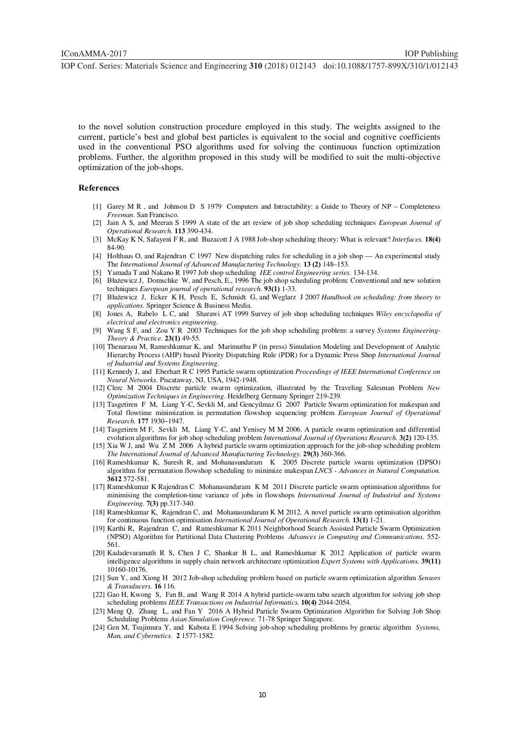to the novel solution construction procedure employed in this study. The weights assigned to the current, particle's best and global best particles is equivalent to the social and cognitive coefficients used in the conventional PSO algorithms used for solving the continuous function optimization problems. Further, the algorithm proposed in this study will be modified to suit the multi-objective optimization of the job-shops.

#### **References**

- [1] Garey M R , and Johnson D S 1979 Computers and Intractability: a Guide to Theory of NP Completeness *Freeman*. San Francisco.
- [2] Jain A S, and Meeran S 1999 A state of the art review of job shop scheduling techniques *European Journal of Operational Research.* **113** 390-434.
- [3] McKay K N, Safayeni F R, and Buzacott J A 1988 Job-shop scheduling theory: What is relevant? *Interfaces.* **18(4)** 84-90.
- [4] Holthaus O, and Rajendran C 1997 New dispatching rules for scheduling in a job shop An experimental study The *International Journal of Advanced Manufacturing Technology.* **13 (2)** 148–153.
- [5] Yamada T and Nakano R 1997 Job shop scheduling *IEE control Engineering series.* 134-134.
- [6] Błażewicz J, Domschke W, and Pesch, E., 1996 The job shop scheduling problem: Conventional and new solution techniques *European journal of operational research.* **93(1)** 1-33.
- [7] Błażewicz J, Ecker K H, Pesch E, Schmidt G, and Weglarz J 2007 *Handbook on scheduling: from theory to applications.* Springer Science & Business Media.
- [8] Jones A, Rabelo L C, and Sharawi AT 1999 Survey of job shop scheduling techniques *Wiley encyclopedia of electrical and electronics engineering.*
- [9] Wang S F, and Zou Y R 2003 Techniques for the job shop scheduling problem: a survey *Systems Engineering-Theory & Practice.* **23(1)** 49-55.
- [10] Thenarasu M, Rameshkumar K, and Marimuthu P (in press) Simulation Modeling and Development of Analytic Hierarchy Process (AHP) based Priority Dispatching Rule (PDR) for a Dynamic Press Shop *International Journal of Industrial and Systems Engineering*.
- [11] Kennedy J, and Eberhart R C 1995 Particle swarm optimization *Proceedings of IEEE International Conference on Neural Networks.* Piscataway, NJ, USA, 1942-1948.
- [12] Clerc M 2004 Discrete particle swarm optimization, illustrated by the Traveling Salesman Problem *New Optimization Techniques in Engineering.* Heidelberg Germany Springer 219-239.
- [13] Tasgetiren F M, Liang Y-C, Sevkli M, and Gencyilmaz G 2007 Particle Swarm optimization for makespan and Total flowtime minimization in permutation flowshop sequencing problem *European Journal of Operational Research.* **177** 1930–1947.
- [14] Tasgetiren M F, Sevkli M, Liang Y-C, and Yenisey M M 2006. A particle swarm optimization and differential evolution algorithms for job shop scheduling problem *International Journal of Operations Research.* **3(2)** 120-135.
- [15] Xia W J, and Wu Z M 2006 A hybrid particle swarm optimization approach for the job-shop scheduling problem *The International Journal of Advanced Manufacturing Technology.* **29(3)** 360-366.
- [16] Rameshkumar K, Suresh R, and Mohanasundaram K 2005 Discrete particle swarm optimization (DPSO) algorithm for permutation flowshop scheduling to minimize makespan *LNCS - Advances in Natural Computation.* **3612** 572-581.
- [17] Rameshkumar K Rajendran C Mohanasundaram K M 2011 Discrete particle swarm optimisation algorithms for minimising the completion-time variance of jobs in flowshops *International Journal of Industrial and Systems Engineering.* **7(3)** pp.317-340.
- [18] Rameshkumar K, Rajendran C, and Mohanasundaram K M 2012. A novel particle swarm optimisation algorithm for continuous function optimisation *International Journal of Operational Research.* **13(1)** 1-21.
- [19] Karthi R, Rajendran C, and Rameshkumar K 2011 Neighborhood Search Assisted Particle Swarm Optimization (NPSO) Algorithm for Partitional Data Clustering Problems *Advances in Computing and Communications.* 552- 561.
- [20] Kadadevaramath R S, Chen J C, Shankar B L, and Rameshkumar K 2012 Application of particle swarm intelligence algorithms in supply chain network architecture optimization *Expert Systems with Applications.* **39(11)** 10160-10176.
- [21] Sun Y, and Xiong H 2012 Job-shop scheduling problem based on particle swarm optimization algorithm *Sensors & Transducers.* **16** 116.
- [22] Gao H, Kwong S, Fan B, and Wang R 2014 A hybrid particle-swarm tabu search algorithm for solving job shop scheduling problems *IEEE Transactions on Industrial Informatics.* **10(4)** 2044-2054.
- [23] Meng Q, Zhang L, and Fan Y 2016 A Hybrid Particle Swarm Optimization Algorithm for Solving Job Shop Scheduling Problems *Asian Simulation Conference.* 71-78 Springer Singapore.
- [24] Gen M, Tsujimura Y, and Kubota E 1994 Solving job-shop scheduling problems by genetic algorithm *Systems, Man, and Cybernetics.* **2** 1577-1582.